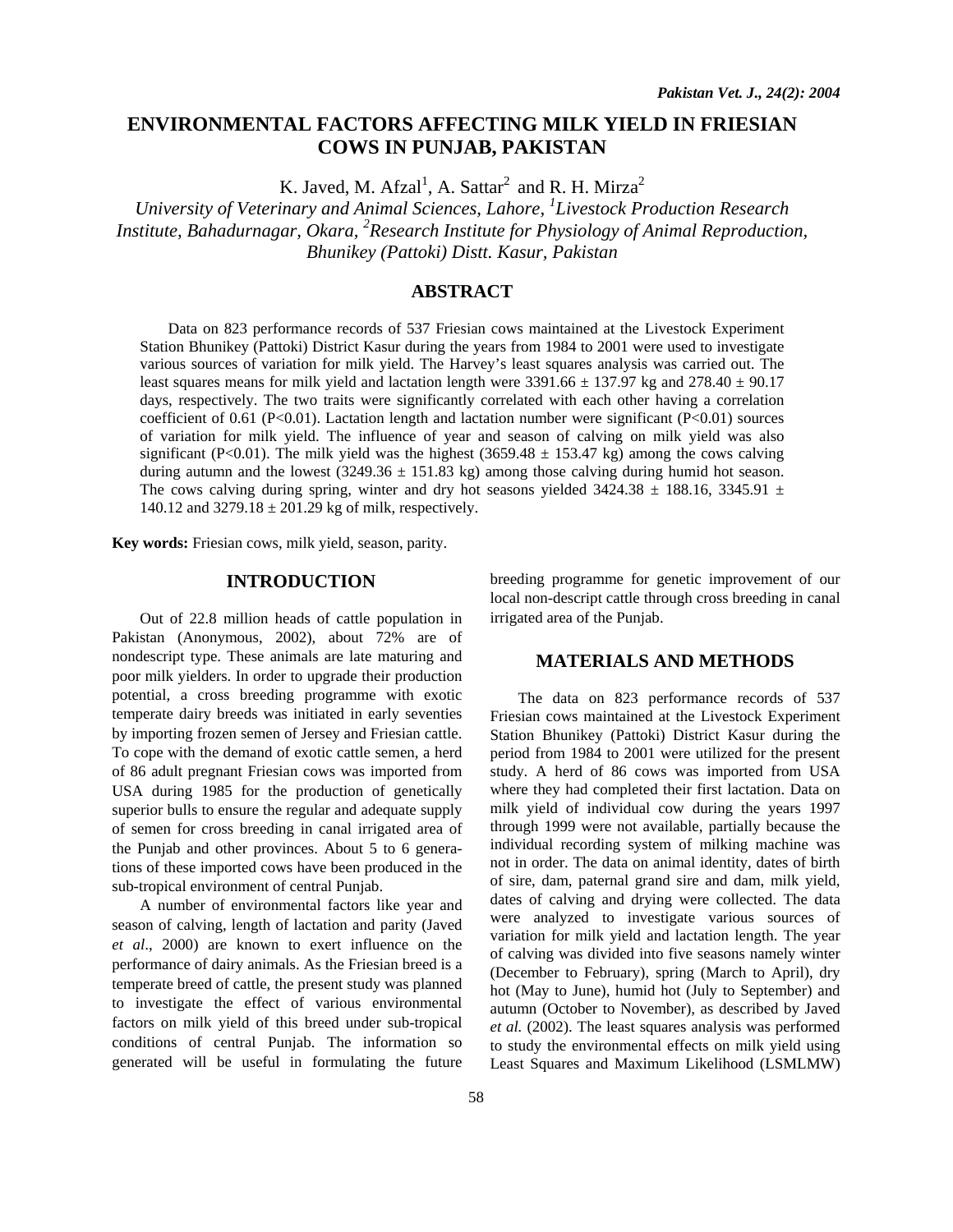# **ENVIRONMENTAL FACTORS AFFECTING MILK YIELD IN FRIESIAN COWS IN PUNJAB, PAKISTAN**

K. Javed, M. Afzal<sup>1</sup>, A. Sattar<sup>2</sup> and R. H. Mirza<sup>2</sup>

*University of Veterinary and Animal Sciences, Lahore, 1 Livestock Production Research Institute, Bahadurnagar, Okara, <sup>2</sup> Research Institute for Physiology of Animal Reproduction, Bhunikey (Pattoki) Distt. Kasur, Pakistan* 

# **ABSTRACT**

Data on 823 performance records of 537 Friesian cows maintained at the Livestock Experiment Station Bhunikey (Pattoki) District Kasur during the years from 1984 to 2001 were used to investigate various sources of variation for milk yield. The Harvey's least squares analysis was carried out. The least squares means for milk yield and lactation length were  $3391.66 \pm 137.97$  kg and  $278.40 \pm 90.17$ days, respectively. The two traits were significantly correlated with each other having a correlation coefficient of 0.61 (P<0.01). Lactation length and lactation number were significant (P<0.01) sources of variation for milk yield. The influence of year and season of calving on milk yield was also significant (P<0.01). The milk yield was the highest (3659.48  $\pm$  153.47 kg) among the cows calving during autumn and the lowest  $(3249.36 \pm 151.83 \text{ kg})$  among those calving during humid hot season. The cows calving during spring, winter and dry hot seasons yielded  $3424.38 \pm 188.16$ ,  $3345.91 \pm 188.16$ 140.12 and  $3279.18 \pm 201.29$  kg of milk, respectively.

**Key words:** Friesian cows, milk yield, season, parity.

## **INTRODUCTION**

Out of 22.8 million heads of cattle population in Pakistan (Anonymous, 2002), about 72% are of nondescript type. These animals are late maturing and poor milk yielders. In order to upgrade their production potential, a cross breeding programme with exotic temperate dairy breeds was initiated in early seventies by importing frozen semen of Jersey and Friesian cattle. To cope with the demand of exotic cattle semen, a herd of 86 adult pregnant Friesian cows was imported from USA during 1985 for the production of genetically superior bulls to ensure the regular and adequate supply of semen for cross breeding in canal irrigated area of the Punjab and other provinces. About 5 to 6 generations of these imported cows have been produced in the sub-tropical environment of central Punjab.

A number of environmental factors like year and season of calving, length of lactation and parity (Javed *et al*., 2000) are known to exert influence on the performance of dairy animals. As the Friesian breed is a temperate breed of cattle, the present study was planned to investigate the effect of various environmental factors on milk yield of this breed under sub-tropical conditions of central Punjab. The information so generated will be useful in formulating the future breeding programme for genetic improvement of our local non-descript cattle through cross breeding in canal irrigated area of the Punjab.

#### **MATERIALS AND METHODS**

 The data on 823 performance records of 537 Friesian cows maintained at the Livestock Experiment Station Bhunikey (Pattoki) District Kasur during the period from 1984 to 2001 were utilized for the present study. A herd of 86 cows was imported from USA where they had completed their first lactation. Data on milk yield of individual cow during the years 1997 through 1999 were not available, partially because the individual recording system of milking machine was not in order. The data on animal identity, dates of birth of sire, dam, paternal grand sire and dam, milk yield, dates of calving and drying were collected. The data were analyzed to investigate various sources of variation for milk yield and lactation length. The year of calving was divided into five seasons namely winter (December to February), spring (March to April), dry hot (May to June), humid hot (July to September) and autumn (October to November), as described by Javed *et al.* (2002). The least squares analysis was performed to study the environmental effects on milk yield using Least Squares and Maximum Likelihood (LSMLMW)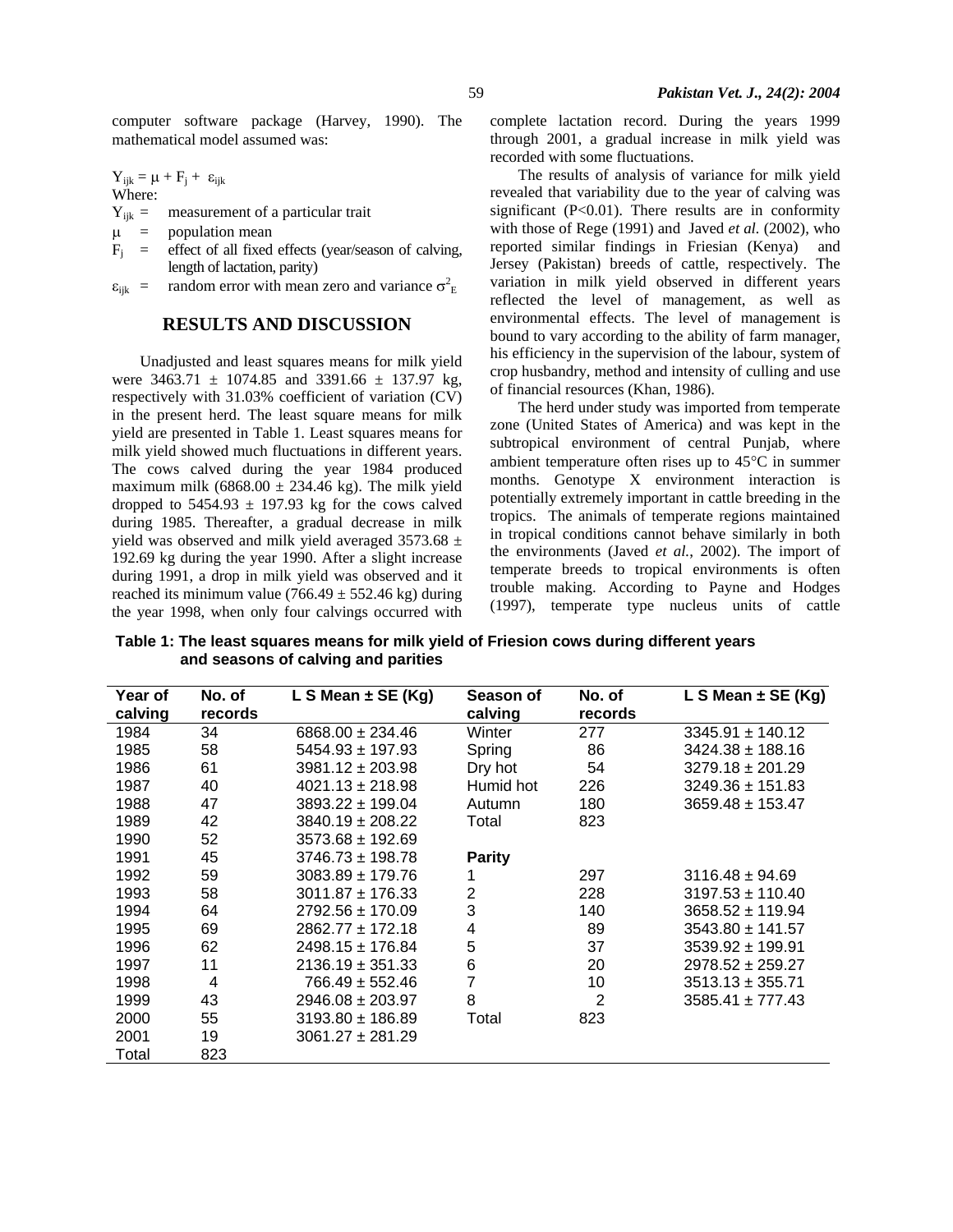computer software package (Harvey, 1990). The mathematical model assumed was:

 $Y_{ijk} = \mu + F_j + \; \epsilon_{ijk}$ Where:

 $Y_{ijk}$  = measurement of a particular trait

 $\mu$  = population mean

- $F_i$  = effect of all fixed effects (year/season of calving, length of lactation, parity)
- $\varepsilon_{ijk}$  = random error with mean zero and variance  $\sigma_E^2$

### **RESULTS AND DISCUSSION**

Unadjusted and least squares means for milk yield were  $3463.71 \pm 1074.85$  and  $3391.66 \pm 137.97$  kg, respectively with 31.03% coefficient of variation (CV) in the present herd. The least square means for milk yield are presented in Table 1. Least squares means for milk yield showed much fluctuations in different years. The cows calved during the year 1984 produced maximum milk (6868.00  $\pm$  234.46 kg). The milk yield dropped to  $5454.93 \pm 197.93$  kg for the cows calved during 1985. Thereafter, a gradual decrease in milk yield was observed and milk yield averaged  $3573.68 \pm$ 192.69 kg during the year 1990. After a slight increase during 1991, a drop in milk yield was observed and it reached its minimum value  $(766.49 \pm 552.46 \text{ kg})$  during the year 1998, when only four calvings occurred with complete lactation record. During the years 1999 through 2001, a gradual increase in milk yield was recorded with some fluctuations.

The results of analysis of variance for milk yield revealed that variability due to the year of calving was significant (P<0.01). There results are in conformity with those of Rege (1991) and Javed *et al.* (2002), who reported similar findings in Friesian (Kenya) and Jersey (Pakistan) breeds of cattle, respectively. The variation in milk yield observed in different years reflected the level of management, as well as environmental effects. The level of management is bound to vary according to the ability of farm manager, his efficiency in the supervision of the labour, system of crop husbandry, method and intensity of culling and use of financial resources (Khan, 1986).

The herd under study was imported from temperate zone (United States of America) and was kept in the subtropical environment of central Punjab, where ambient temperature often rises up to 45°C in summer months. Genotype X environment interaction is potentially extremely important in cattle breeding in the tropics. The animals of temperate regions maintained in tropical conditions cannot behave similarly in both the environments (Javed *et al.*, 2002). The import of temperate breeds to tropical environments is often trouble making. According to Payne and Hodges (1997), temperate type nucleus units of cattle

**Table 1: The least squares means for milk yield of Friesion cows during different years and seasons of calving and parities** 

| <b>Year of</b><br>calving | No. of<br>records | L S Mean $\pm$ SE (Kg) | Season of<br>calving | No. of<br>records | L S Mean $\pm$ SE (Kg) |
|---------------------------|-------------------|------------------------|----------------------|-------------------|------------------------|
| 1984                      | 34                | $6868.00 \pm 234.46$   | Winter               | 277               | $3345.91 \pm 140.12$   |
| 1985                      | 58                | $5454.93 \pm 197.93$   | Spring               | 86                | $3424.38 \pm 188.16$   |
| 1986                      | 61                | $3981.12 \pm 203.98$   | Dry hot              | 54                | $3279.18 \pm 201.29$   |
| 1987                      | 40                | $4021.13 \pm 218.98$   | Humid hot            | 226               | $3249.36 \pm 151.83$   |
| 1988                      | 47                | $3893.22 \pm 199.04$   | Autumn               | 180               | $3659.48 \pm 153.47$   |
| 1989                      | 42                | $3840.19 \pm 208.22$   | Total                | 823               |                        |
| 1990                      | 52                | $3573.68 \pm 192.69$   |                      |                   |                        |
| 1991                      | 45                | $3746.73 \pm 198.78$   | <b>Parity</b>        |                   |                        |
| 1992                      | 59                | $3083.89 \pm 179.76$   |                      | 297               | $3116.48 \pm 94.69$    |
| 1993                      | 58                | $3011.87 \pm 176.33$   | $\overline{2}$       | 228               | $3197.53 \pm 110.40$   |
| 1994                      | 64                | $2792.56 \pm 170.09$   | 3                    | 140               | $3658.52 \pm 119.94$   |
| 1995                      | 69                | $2862.77 \pm 172.18$   | 4                    | 89                | $3543.80 \pm 141.57$   |
| 1996                      | 62                | $2498.15 \pm 176.84$   | 5                    | 37                | $3539.92 \pm 199.91$   |
| 1997                      | 11                | $2136.19 \pm 351.33$   | 6                    | 20                | $2978.52 \pm 259.27$   |
| 1998                      | 4                 | $766.49 \pm 552.46$    | 7                    | 10                | $3513.13 \pm 355.71$   |
| 1999                      | 43                | $2946.08 \pm 203.97$   | 8                    | 2                 | $3585.41 \pm 777.43$   |
| 2000                      | 55                | $3193.80 \pm 186.89$   | Total                | 823               |                        |
| 2001                      | 19                | $3061.27 \pm 281.29$   |                      |                   |                        |
| Total                     | 823               |                        |                      |                   |                        |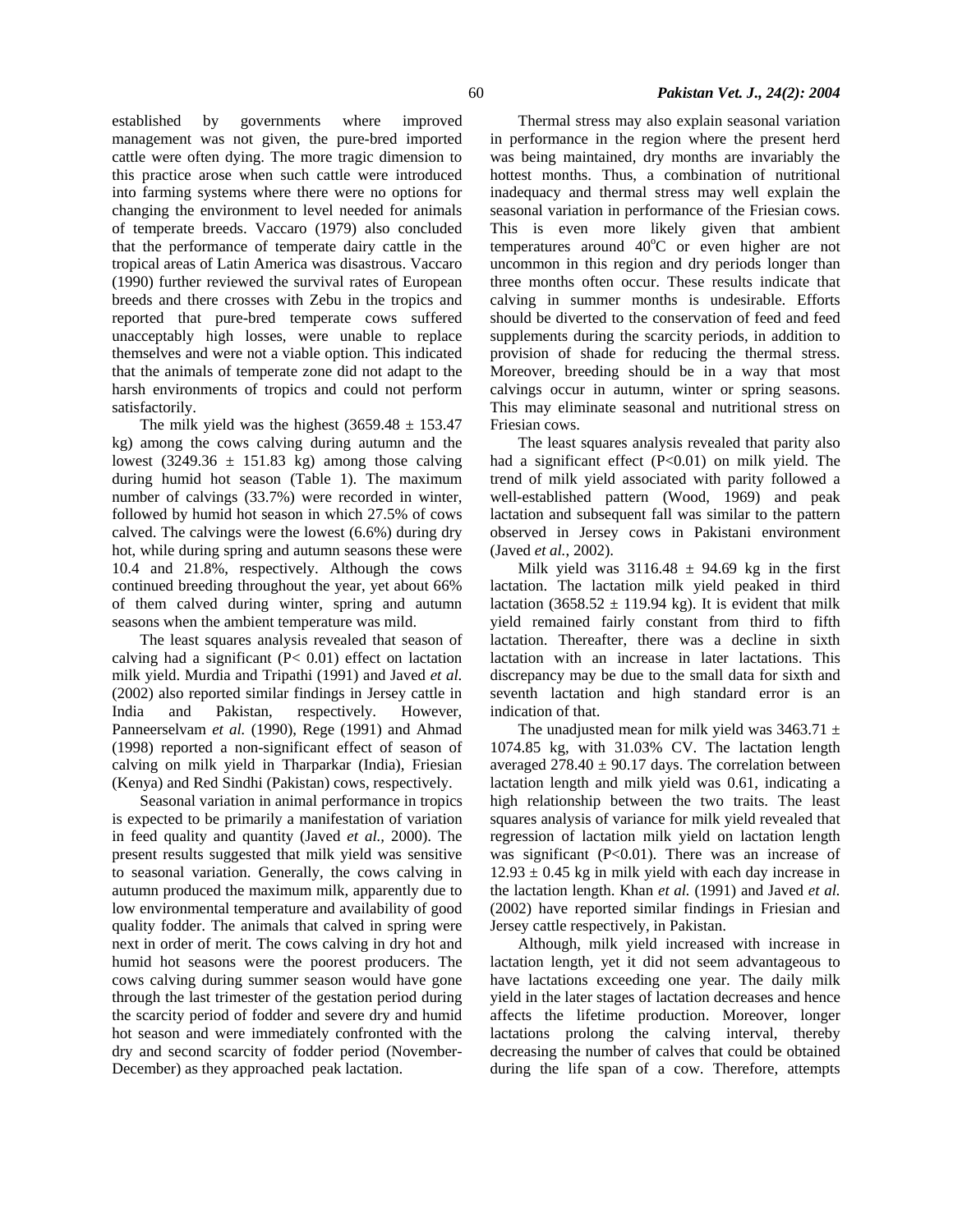established by governments where improved management was not given, the pure-bred imported cattle were often dying. The more tragic dimension to this practice arose when such cattle were introduced into farming systems where there were no options for changing the environment to level needed for animals of temperate breeds. Vaccaro (1979) also concluded that the performance of temperate dairy cattle in the tropical areas of Latin America was disastrous. Vaccaro (1990) further reviewed the survival rates of European breeds and there crosses with Zebu in the tropics and reported that pure-bred temperate cows suffered unacceptably high losses, were unable to replace themselves and were not a viable option. This indicated that the animals of temperate zone did not adapt to the harsh environments of tropics and could not perform satisfactorily.

The milk yield was the highest  $(3659.48 \pm 153.47)$ kg) among the cows calving during autumn and the lowest (3249.36  $\pm$  151.83 kg) among those calving during humid hot season (Table 1). The maximum number of calvings (33.7%) were recorded in winter, followed by humid hot season in which 27.5% of cows calved. The calvings were the lowest (6.6%) during dry hot, while during spring and autumn seasons these were 10.4 and 21.8%, respectively. Although the cows continued breeding throughout the year, yet about 66% of them calved during winter, spring and autumn seasons when the ambient temperature was mild.

The least squares analysis revealed that season of calving had a significant (P< 0.01) effect on lactation milk yield. Murdia and Tripathi (1991) and Javed *et al*. (2002) also reported similar findings in Jersey cattle in India and Pakistan, respectively. However, Panneerselvam et al. (1990), Rege (1991) and Ahmad (1998) reported a non-significant effect of season of calving on milk yield in Tharparkar (India), Friesian (Kenya) and Red Sindhi (Pakistan) cows, respectively.

Seasonal variation in animal performance in tropics is expected to be primarily a manifestation of variation in feed quality and quantity (Javed *et al.,* 2000). The present results suggested that milk yield was sensitive to seasonal variation. Generally, the cows calving in autumn produced the maximum milk, apparently due to low environmental temperature and availability of good quality fodder. The animals that calved in spring were next in order of merit. The cows calving in dry hot and humid hot seasons were the poorest producers. The cows calving during summer season would have gone through the last trimester of the gestation period during the scarcity period of fodder and severe dry and humid hot season and were immediately confronted with the dry and second scarcity of fodder period (November-December) as they approached peak lactation.

Thermal stress may also explain seasonal variation in performance in the region where the present herd was being maintained, dry months are invariably the hottest months. Thus, a combination of nutritional inadequacy and thermal stress may well explain the seasonal variation in performance of the Friesian cows. This is even more likely given that ambient temperatures around  $40^{\circ}$ C or even higher are not uncommon in this region and dry periods longer than three months often occur. These results indicate that calving in summer months is undesirable. Efforts should be diverted to the conservation of feed and feed supplements during the scarcity periods, in addition to provision of shade for reducing the thermal stress. Moreover, breeding should be in a way that most calvings occur in autumn, winter or spring seasons. This may eliminate seasonal and nutritional stress on Friesian cows.

The least squares analysis revealed that parity also had a significant effect (P<0.01) on milk yield. The trend of milk yield associated with parity followed a well-established pattern (Wood, 1969) and peak lactation and subsequent fall was similar to the pattern observed in Jersey cows in Pakistani environment (Javed *et al.*, 2002).

Milk yield was  $3116.48 \pm 94.69$  kg in the first lactation. The lactation milk yield peaked in third lactation (3658.52  $\pm$  119.94 kg). It is evident that milk yield remained fairly constant from third to fifth lactation. Thereafter, there was a decline in sixth lactation with an increase in later lactations. This discrepancy may be due to the small data for sixth and seventh lactation and high standard error is an indication of that.

The unadjusted mean for milk yield was  $3463.71 \pm$ 1074.85 kg, with 31.03% CV. The lactation length averaged  $278.40 \pm 90.17$  days. The correlation between lactation length and milk yield was 0.61, indicating a high relationship between the two traits. The least squares analysis of variance for milk yield revealed that regression of lactation milk yield on lactation length was significant (P<0.01). There was an increase of  $12.93 \pm 0.45$  kg in milk yield with each day increase in the lactation length. Khan *et al.* (1991) and Javed *et al.* (2002) have reported similar findings in Friesian and Jersey cattle respectively, in Pakistan.

Although, milk yield increased with increase in lactation length, yet it did not seem advantageous to have lactations exceeding one year. The daily milk yield in the later stages of lactation decreases and hence affects the lifetime production. Moreover, longer lactations prolong the calving interval, thereby decreasing the number of calves that could be obtained during the life span of a cow. Therefore, attempts